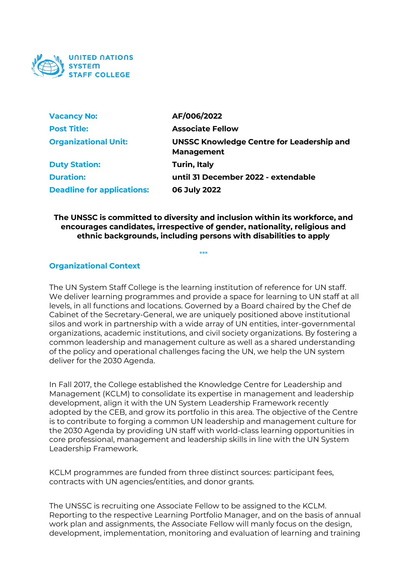

| <b>Vacancy No:</b>                | AF/006/2022                                                           |
|-----------------------------------|-----------------------------------------------------------------------|
| <b>Post Title:</b>                | <b>Associate Fellow</b>                                               |
| <b>Organizational Unit:</b>       | <b>UNSSC Knowledge Centre for Leadership and</b><br><b>Management</b> |
| <b>Duty Station:</b>              | <b>Turin, Italy</b>                                                   |
| <b>Duration:</b>                  | until 31 December 2022 - extendable                                   |
| <b>Deadline for applications:</b> | 06 July 2022                                                          |

### **The UNSSC is committed to diversity and inclusion within its workforce, and encourages candidates, irrespective of gender, nationality, religious and ethnic backgrounds, including persons with disabilities to apply**

\*\*\*

# **Organizational Context**

The UN System Staff College is the learning institution of reference for UN staff. We deliver learning programmes and provide a space for learning to UN staff at all levels, in all functions and locations. Governed by a Board chaired by the Chef de Cabinet of the Secretary-General, we are uniquely positioned above institutional silos and work in partnership with a wide array of UN entities, inter-governmental organizations, academic institutions, and civil society organizations. By fostering a common leadership and management culture as well as a shared understanding of the policy and operational challenges facing the UN, we help the UN system deliver for the 2030 Agenda.

In Fall 2017, the College established the Knowledge Centre for Leadership and Management (KCLM) to consolidate its expertise in management and leadership development, align it with the UN System Leadership Framework recently adopted by the CEB, and grow its portfolio in this area. The objective of the Centre is to contribute to forging a common UN leadership and management culture for the 2030 Agenda by providing UN staff with world-class learning opportunities in core professional, management and leadership skills in line with the UN System Leadership Framework.

KCLM programmes are funded from three distinct sources: participant fees, contracts with UN agencies/entities, and donor grants.

The UNSSC is recruiting one Associate Fellow to be assigned to the KCLM. Reporting to the respective Learning Portfolio Manager, and on the basis of annual work plan and assignments, the Associate Fellow will manly focus on the design, development, implementation, monitoring and evaluation of learning and training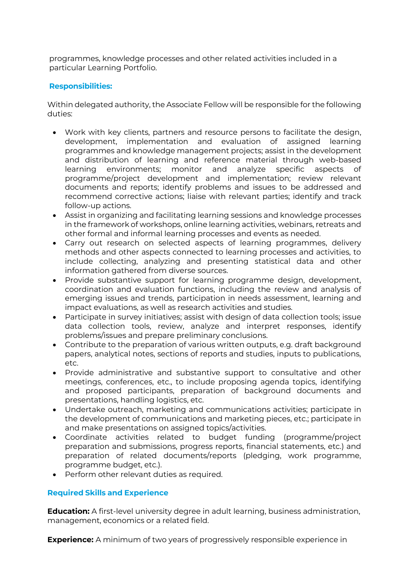programmes, knowledge processes and other related activities included in a particular Learning Portfolio.

# **Responsibilities:**

Within delegated authority, the Associate Fellow will be responsible for the following duties:

- Work with key clients, partners and resource persons to facilitate the design, development, implementation and evaluation of assigned learning programmes and knowledge management projects; assist in the development and distribution of learning and reference material through web-based learning environments; monitor and analyze specific aspects of programme/project development and implementation; review relevant documents and reports; identify problems and issues to be addressed and recommend corrective actions; liaise with relevant parties; identify and track follow-up actions.
- Assist in organizing and facilitating learning sessions and knowledge processes in the framework of workshops, online learning activities, webinars, retreats and other formal and informal learning processes and events as needed.
- Carry out research on selected aspects of learning programmes, delivery methods and other aspects connected to learning processes and activities, to include collecting, analyzing and presenting statistical data and other information gathered from diverse sources.
- Provide substantive support for learning programme design, development, coordination and evaluation functions, including the review and analysis of emerging issues and trends, participation in needs assessment, learning and impact evaluations, as well as research activities and studies.
- Participate in survey initiatives; assist with design of data collection tools; issue data collection tools, review, analyze and interpret responses, identify problems/issues and prepare preliminary conclusions.
- Contribute to the preparation of various written outputs, e.g. draft background papers, analytical notes, sections of reports and studies, inputs to publications, etc.
- Provide administrative and substantive support to consultative and other meetings, conferences, etc., to include proposing agenda topics, identifying and proposed participants, preparation of background documents and presentations, handling logistics, etc.
- Undertake outreach, marketing and communications activities; participate in the development of communications and marketing pieces, etc.; participate in and make presentations on assigned topics/activities.
- Coordinate activities related to budget funding (programme/project preparation and submissions, progress reports, financial statements, etc.) and preparation of related documents/reports (pledging, work programme, programme budget, etc.).
- Perform other relevant duties as required.

# **Required Skills and Experience**

**Education:** A first-level university degree in adult learning, business administration, management, economics or a related field.

**Experience:** A minimum of two years of progressively responsible experience in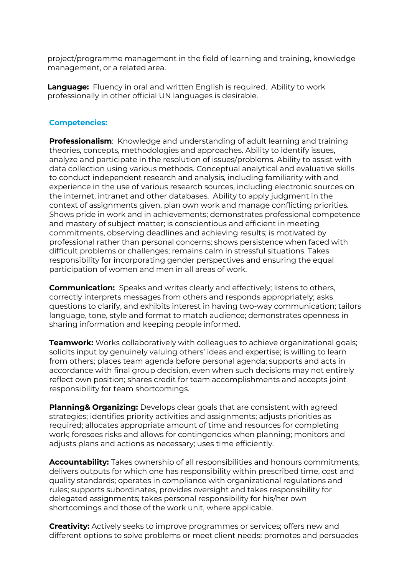project/programme management in the field of learning and training, knowledge management, or a related area.

**Language:** Fluency in oral and written English is required. Ability to work professionally in other official UN languages is desirable.

#### **Competencies:**

**Professionalism**: Knowledge and understanding of adult learning and training theories, concepts, methodologies and approaches. Ability to identify issues, analyze and participate in the resolution of issues/problems. Ability to assist with data collection using various methods. Conceptual analytical and evaluative skills to conduct independent research and analysis, including familiarity with and experience in the use of various research sources, including electronic sources on the internet, intranet and other databases. Ability to apply judgment in the context of assignments given, plan own work and manage conflicting priorities. Shows pride in work and in achievements; demonstrates professional competence and mastery of subject matter; is conscientious and efficient in meeting commitments, observing deadlines and achieving results; is motivated by professional rather than personal concerns; shows persistence when faced with difficult problems or challenges; remains calm in stressful situations. Takes responsibility for incorporating gender perspectives and ensuring the equal participation of women and men in all areas of work.

**Communication:** Speaks and writes clearly and effectively; listens to others, correctly interprets messages from others and responds appropriately; asks questions to clarify, and exhibits interest in having two-way communication; tailors language, tone, style and format to match audience; demonstrates openness in sharing information and keeping people informed.

**Teamwork:** Works collaboratively with colleagues to achieve organizational goals; solicits input by genuinely valuing others' ideas and expertise; is willing to learn from others; places team agenda before personal agenda; supports and acts in accordance with final group decision, even when such decisions may not entirely reflect own position; shares credit for team accomplishments and accepts joint responsibility for team shortcomings.

**Planning& Organizing:** Develops clear goals that are consistent with agreed strategies; identifies priority activities and assignments; adjusts priorities as required; allocates appropriate amount of time and resources for completing work; foresees risks and allows for contingencies when planning; monitors and adjusts plans and actions as necessary; uses time efficiently.

**Accountability:** Takes ownership of all responsibilities and honours commitments; delivers outputs for which one has responsibility within prescribed time, cost and quality standards; operates in compliance with organizational regulations and rules; supports subordinates, provides oversight and takes responsibility for delegated assignments; takes personal responsibility for his/her own shortcomings and those of the work unit, where applicable.

**Creativity:** Actively seeks to improve programmes or services; offers new and different options to solve problems or meet client needs; promotes and persuades